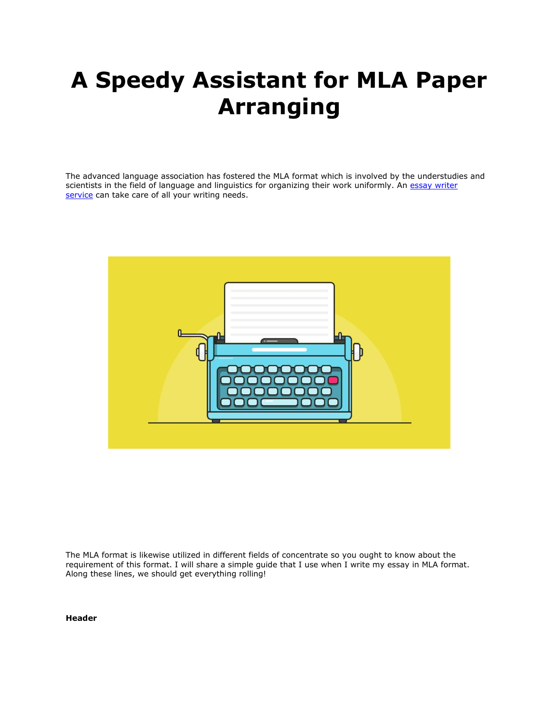# **A Speedy Assistant for MLA Paper Arranging**

The advanced language association has fostered the MLA format which is involved by the understudies and scientists in the field of language and linguistics for organizing their work uniformly. An essay writer [service](https://essaywriternow.com/) can take care of all your writing needs.



The MLA format is likewise utilized in different fields of concentrate so you ought to know about the requirement of this format. I will share a simple guide that I use when I write my essay in MLA format. Along these lines, we should get everything rolling!

**Header**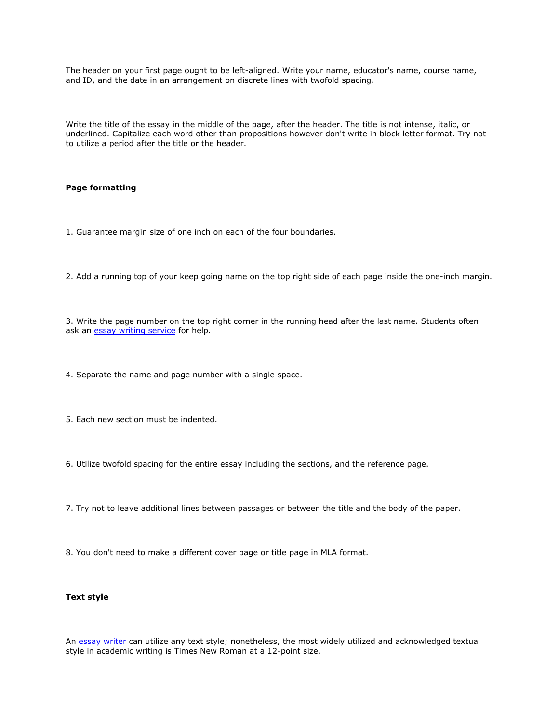The header on your first page ought to be left-aligned. Write your name, educator's name, course name, and ID, and the date in an arrangement on discrete lines with twofold spacing.

Write the title of the essay in the middle of the page, after the header. The title is not intense, italic, or underlined. Capitalize each word other than propositions however don't write in block letter format. Try not to utilize a period after the title or the header.

#### **Page formatting**

- 1. Guarantee margin size of one inch on each of the four boundaries.
- 2. Add a running top of your keep going name on the top right side of each page inside the one-inch margin.

3. Write the page number on the top right corner in the running head after the last name. Students often ask an [essay writing service](https://www.myperfectwords.com/) for help.

- 4. Separate the name and page number with a single space.
- 5. Each new section must be indented.
- 6. Utilize twofold spacing for the entire essay including the sections, and the reference page.
- 7. Try not to leave additional lines between passages or between the title and the body of the paper.
- 8. You don't need to make a different cover page or title page in MLA format.

#### **Text style**

An [essay writer](https://www.myperfectwords.com/) can utilize any text style; nonetheless, the most widely utilized and acknowledged textual style in academic writing is Times New Roman at a 12-point size.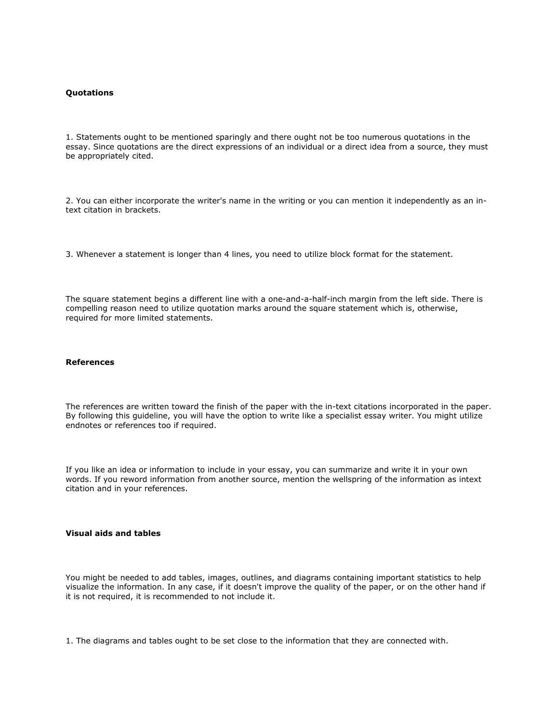#### **Quotations**

1. Statements ought to be mentioned sparingly and there ought not be too numerous quotations in the essay. Since quotations are the direct expressions of an individual or a direct idea from a source, they must be appropriately cited.

2. You can either incorporate the writer's name in the writing or you can mention it independently as an intext citation in brackets.

3. Whenever a statement is longer than 4 lines, you need to utilize block format for the statement.

The square statement begins a different line with a one-and-a-half-inch margin from the left side. There is compelling reason need to utilize quotation marks around the square statement which is, otherwise, required for more limited statements.

### **References**

The references are written toward the finish of the paper with the in-text citations incorporated in the paper. By following this guideline, you will have the option to write like a specialist essay writer. You might utilize endnotes or references too if required.

If you like an idea or information to include in your essay, you can summarize and write it in your own words. If you reword information from another source, mention the wellspring of the information as intext citation and in your references.

#### **Visual aids and tables**

You might be needed to add tables, images, outlines, and diagrams containing important statistics to help visualize the information. In any case, if it doesn't improve the quality of the paper, or on the other hand if it is not required, it is recommended to not include it.

1. The diagrams and tables ought to be set close to the information that they are connected with.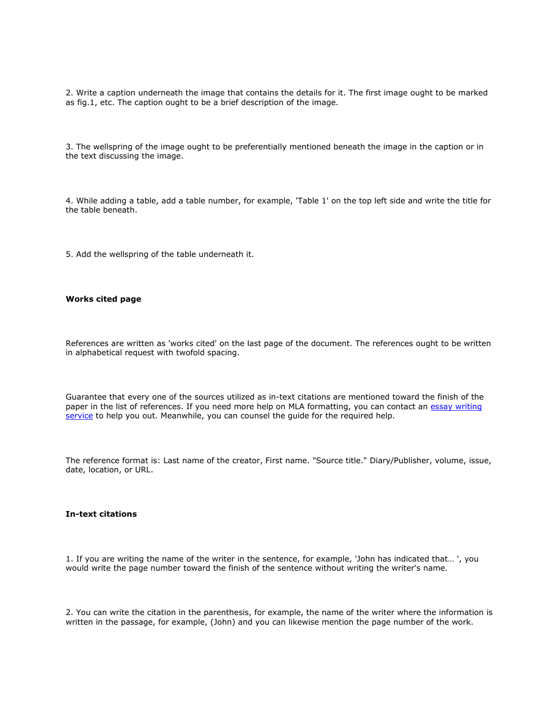2. Write a caption underneath the image that contains the details for it. The first image ought to be marked as fig.1, etc. The caption ought to be a brief description of the image.

3. The wellspring of the image ought to be preferentially mentioned beneath the image in the caption or in the text discussing the image.

4. While adding a table, add a table number, for example, 'Table 1' on the top left side and write the title for the table beneath.

5. Add the wellspring of the table underneath it.

#### **Works cited page**

References are written as 'works cited' on the last page of the document. The references ought to be written in alphabetical request with twofold spacing.

Guarantee that every one of the sources utilized as in-text citations are mentioned toward the finish of the paper in the list of references. If you need more help on MLA formatting, you can contact an essay writing [service](https://essaywriternow.com/) to help you out. Meanwhile, you can counsel the guide for the required help.

The reference format is: Last name of the creator, First name. "Source title." Diary/Publisher, volume, issue, date, location, or URL.

#### **In-text citations**

1. If you are writing the name of the writer in the sentence, for example, 'John has indicated that… ', you would write the page number toward the finish of the sentence without writing the writer's name.

2. You can write the citation in the parenthesis, for example, the name of the writer where the information is written in the passage, for example, (John) and you can likewise mention the page number of the work.